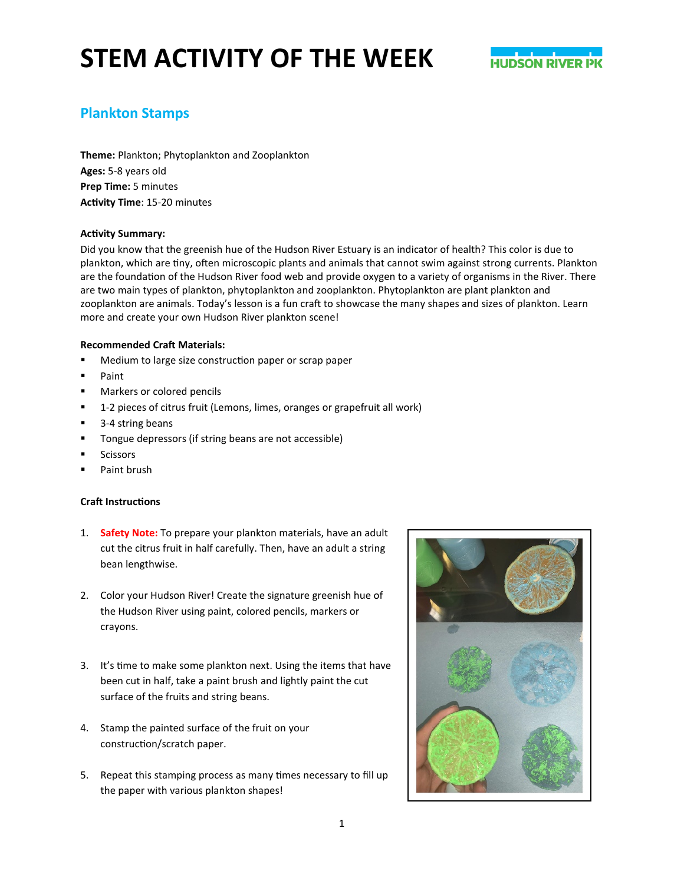## **STEM ACTIVITY OF THE WEEK**



### **Plankton Stamps**

**Theme:** Plankton; Phytoplankton and Zooplankton **Ages:** 5-8 years old **Prep Time:** 5 minutes **Activity Time**: 15-20 minutes

#### **Activity Summary:**

Did you know that the greenish hue of the Hudson River Estuary is an indicator of health? This color is due to plankton, which are tiny, often microscopic plants and animals that cannot swim against strong currents. Plankton are the foundation of the Hudson River food web and provide oxygen to a variety of organisms in the River. There are two main types of plankton, phytoplankton and zooplankton. Phytoplankton are plant plankton and zooplankton are animals. Today's lesson is a fun craft to showcase the many shapes and sizes of plankton. Learn more and create your own Hudson River plankton scene!

#### **Recommended Craft Materials:**

- **Medium to large size construction paper or scrap paper**
- **Paint**
- **Markers or colored pencils**
- 1-2 pieces of citrus fruit (Lemons, limes, oranges or grapefruit all work)
- 3-4 string beans
- **Tongue depressors (if string beans are not accessible)**
- Scissors
- **Paint brush**

#### **Craft Instructions**

- 1. **Safety Note:** To prepare your plankton materials, have an adult cut the citrus fruit in half carefully. Then, have an adult a string bean lengthwise.
- 2. Color your Hudson River! Create the signature greenish hue of the Hudson River using paint, colored pencils, markers or crayons.
- 3. It's time to make some plankton next. Using the items that have been cut in half, take a paint brush and lightly paint the cut surface of the fruits and string beans.
- 4. Stamp the painted surface of the fruit on your construction/scratch paper.
- 5. Repeat this stamping process as many times necessary to fill up the paper with various plankton shapes!